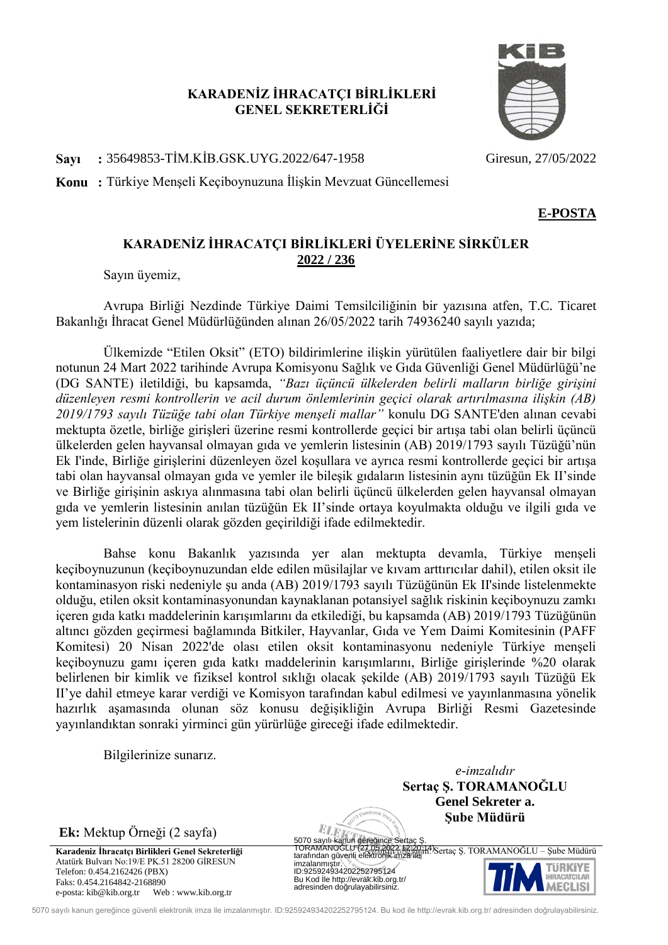## **KARADENİZ İHRACATÇI BİRLİKLERİ GENEL SEKRETERLİĞİ**

**Sayı :** 35649853-TİM.KİB.GSK.UYG.2022/647-1958 Giresun, 27/05/2022

**Konu :** Türkiye Menşeli Keçiboynuzuna İlişkin Mevzuat Güncellemesi

## **KARADENİZ İHRACATÇI BİRLİKLERİ ÜYELERİNE SİRKÜLER 2022 / 236**

Sayın üyemiz,

Avrupa Birliği Nezdinde Türkiye Daimi Temsilciliğinin bir yazısına atfen, T.C. Ticaret Bakanlığı İhracat Genel Müdürlüğünden alınan 26/05/2022 tarih 74936240 sayılı yazıda;

Ülkemizde "Etilen Oksit" (ETO) bildirimlerine ilişkin yürütülen faaliyetlere dair bir bilgi notunun 24 Mart 2022 tarihinde Avrupa Komisyonu Sağlık ve Gıda Güvenliği Genel Müdürlüğü'ne (DG SANTE) iletildiği, bu kapsamda, *"Bazı üçüncü ülkelerden belirli malların birliğe girişini düzenleyen resmi kontrollerin ve acil durum önlemlerinin geçici olarak artırılmasına ilişkin (AB) 2019/1793 sayılı Tüzüğe tabi olan Türkiye menşeli mallar"* konulu DG SANTE'den alınan cevabi mektupta özetle, birliğe girişleri üzerine resmi kontrollerde geçici bir artışa tabi olan belirli üçüncü ülkelerden gelen hayvansal olmayan gıda ve yemlerin listesinin (AB) 2019/1793 sayılı Tüzüğü'nün Ek I'inde, Birliğe girişlerini düzenleyen özel koşullara ve ayrıca resmi kontrollerde geçici bir artışa tabi olan hayvansal olmayan gıda ve yemler ile bileşik gıdaların listesinin aynı tüzüğün Ek II'sinde ve Birliğe girişinin askıya alınmasına tabi olan belirli üçüncü ülkelerden gelen hayvansal olmayan gıda ve yemlerin listesinin anılan tüzüğün Ek II'sinde ortaya koyulmakta olduğu ve ilgili gıda ve yem listelerinin düzenli olarak gözden geçirildiği ifade edilmektedir.

Bahse konu Bakanlık yazısında yer alan mektupta devamla, Türkiye menşeli keçiboynuzunun (keçiboynuzundan elde edilen müsilajlar ve kıvam arttırıcılar dahil), etilen oksit ile kontaminasyon riski nedeniyle şu anda (AB) 2019/1793 sayılı Tüzüğünün Ek II'sinde listelenmekte olduğu, etilen oksit kontaminasyonundan kaynaklanan potansiyel sağlık riskinin keçiboynuzu zamkı içeren gıda katkı maddelerinin karışımlarını da etkilediği, bu kapsamda (AB) 2019/1793 Tüzüğünün altıncı gözden geçirmesi bağlamında Bitkiler, Hayvanlar, Gıda ve Yem Daimi Komitesinin (PAFF Komitesi) 20 Nisan 2022'de olası etilen oksit kontaminasyonu nedeniyle Türkiye menşeli keçiboynuzu gamı içeren gıda katkı maddelerinin karışımlarını, Birliğe girişlerinde %20 olarak belirlenen bir kimlik ve fiziksel kontrol sıklığı olacak şekilde (AB) 2019/1793 sayılı Tüzüğü Ek II'ye dahil etmeye karar verdiği ve Komisyon tarafından kabul edilmesi ve yayınlanmasına yönelik hazırlık aşamasında olunan söz konusu değişikliğin Avrupa Birliği Resmi Gazetesinde yayınlandıktan sonraki yirminci gün yürürlüğe gireceği ifade edilmektedir.

Bilgilerinize sunarız.

**Ek:** Mektup Örneği (2 sayfa)

Atatürk Bulvarı No:19/E PK.51 28200 GİRESUN Telefon: 0.454.2162426 (PBX) Faks: 0.454.2164842-2168890 e-posta: kib@kib.org.tr Web : www.kib.org.tr

*e-imzalıdır* **Sertaç Ş. TORAMANOĞLU Genel Sekreter a. Şube Müdürü**

**Karadeniz İhracatçı Birlikleri Genel Sekreterliği** karadeniz bir bilgi işin: Sertaç Ş. TORAMANOĞLU – Şube Müdürü 5070 sayılı kanun gere jince Sertaç<br>TORAMANO LU <del>(27.05.2022 12:20:14)</del><br>tarafından güvenli elektronik imza ile imzalanmı tır.<br>ID:925924934202252795124 Bu Kod le http://evrak.kib.org.tr/ adresinden do rulayabilirsiniz.



5070 sayılı kanun gereğince güvenli elektronik imza ile imzalanmıştır. ID:925924934202252795124. Bu kod ile http://evrak.kib.org.tr/ adresinden doğrulayabilirsiniz.

ELE

**E-POSTA**

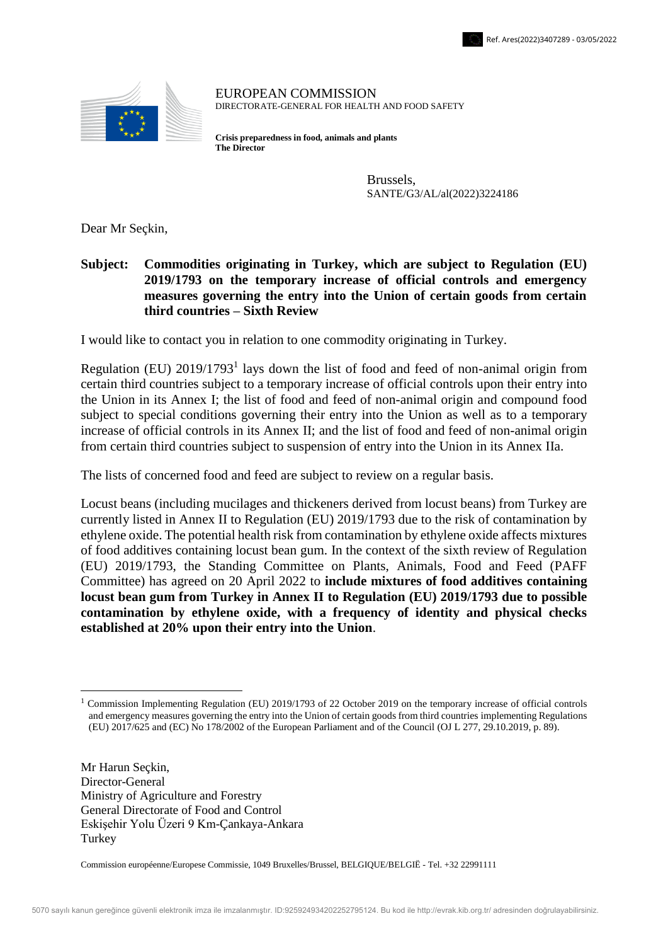

EUROPEAN COMMISSION DIRECTORATE-GENERAL FOR HEALTH AND FOOD SAFETY

**Crisis preparedness in food, animals and plants The Director**

> Brussels, SANTE/G3/AL/al(2022)3224186

Dear Mr Seçkin,

**Subject: Commodities originating in Turkey, which are subject to Regulation (EU) 2019/1793 on the temporary increase of official controls and emergency measures governing the entry into the Union of certain goods from certain third countries – Sixth Review**

I would like to contact you in relation to one commodity originating in Turkey.

Regulation (EU)  $2019/1793<sup>1</sup>$  lays down the list of food and feed of non-animal origin from certain third countries subject to a temporary increase of official controls upon their entry into the Union in its Annex I; the list of food and feed of non-animal origin and compound food subject to special conditions governing their entry into the Union as well as to a temporary increase of official controls in its Annex II; and the list of food and feed of non-animal origin from certain third countries subject to suspension of entry into the Union in its Annex IIa.

The lists of concerned food and feed are subject to review on a regular basis.

Locust beans (including mucilages and thickeners derived from locust beans) from Turkey are currently listed in Annex II to Regulation (EU) 2019/1793 due to the risk of contamination by ethylene oxide. The potential health risk from contamination by ethylene oxide affects mixtures of food additives containing locust bean gum. In the context of the sixth review of Regulation (EU) 2019/1793, the Standing Committee on Plants, Animals, Food and Feed (PAFF Committee) has agreed on 20 April 2022 to **include mixtures of food additives containing locust bean gum from Turkey in Annex II to Regulation (EU) 2019/1793 due to possible contamination by ethylene oxide, with a frequency of identity and physical checks established at 20% upon their entry into the Union**.

Mr Harun Seçkin, Director-General Ministry of Agriculture and Forestry General Directorate of Food and Control Eskişehir Yolu Üzeri 9 Km-Çankaya-Ankara Turkey

<u>.</u>

Commission européenne/Europese Commissie, 1049 Bruxelles/Brussel, BELGIQUE/BELGIË - Tel. +32 22991111

<sup>1</sup> Commission Implementing Regulation (EU) 2019/1793 of 22 October 2019 on the temporary increase of official controls and emergency measures governing the entry into the Union of certain goods from third countries implementing Regulations (EU) 2017/625 and (EC) No 178/2002 of the European Parliament and of the Council (OJ L 277, 29.10.2019, p. 89).